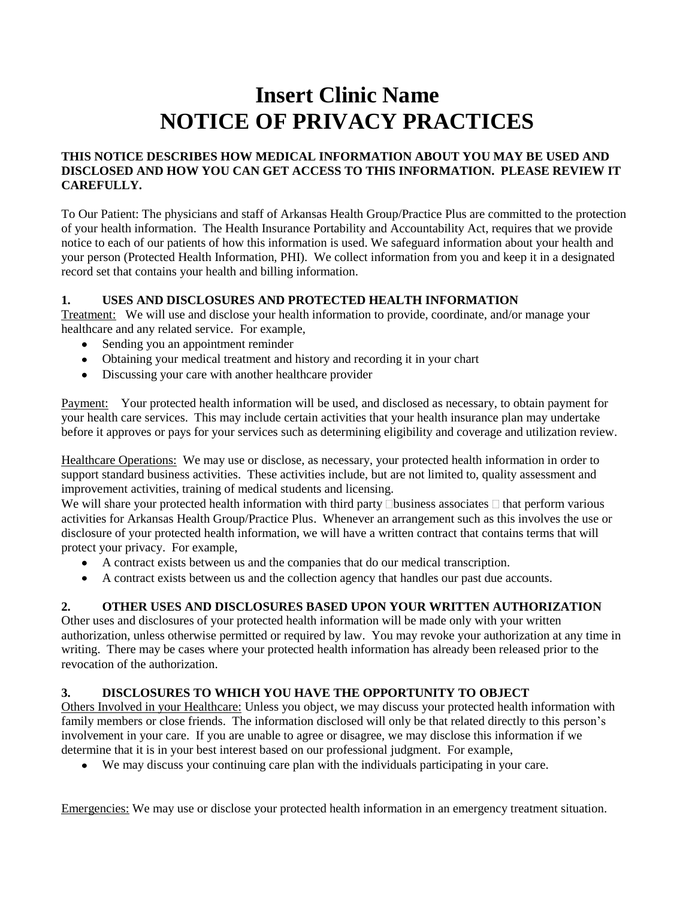# **Insert Clinic Name NOTICE OF PRIVACY PRACTICES**

#### **THIS NOTICE DESCRIBES HOW MEDICAL INFORMATION ABOUT YOU MAY BE USED AND DISCLOSED AND HOW YOU CAN GET ACCESS TO THIS INFORMATION. PLEASE REVIEW IT CAREFULLY.**

To Our Patient: The physicians and staff of Arkansas Health Group/Practice Plus are committed to the protection of your health information. The Health Insurance Portability and Accountability Act, requires that we provide notice to each of our patients of how this information is used. We safeguard information about your health and your person (Protected Health Information, PHI). We collect information from you and keep it in a designated record set that contains your health and billing information.

#### **1. USES AND DISCLOSURES AND PROTECTED HEALTH INFORMATION**

Treatment: We will use and disclose your health information to provide, coordinate, and/or manage your healthcare and any related service. For example,

- Sending you an appointment reminder
- Obtaining your medical treatment and history and recording it in your chart
- Discussing your care with another healthcare provider

Payment: Your protected health information will be used, and disclosed as necessary, to obtain payment for your health care services. This may include certain activities that your health insurance plan may undertake before it approves or pays for your services such as determining eligibility and coverage and utilization review.

Healthcare Operations: We may use or disclose, as necessary, your protected health information in order to support standard business activities. These activities include, but are not limited to, quality assessment and improvement activities, training of medical students and licensing.

We will share your protected health information with third party  $\Box$  business associates  $\Box$  that perform various activities for Arkansas Health Group/Practice Plus. Whenever an arrangement such as this involves the use or disclosure of your protected health information, we will have a written contract that contains terms that will protect your privacy. For example,

- A contract exists between us and the companies that do our medical transcription.
- A contract exists between us and the collection agency that handles our past due accounts.

#### **2. OTHER USES AND DISCLOSURES BASED UPON YOUR WRITTEN AUTHORIZATION**

Other uses and disclosures of your protected health information will be made only with your written authorization, unless otherwise permitted or required by law. You may revoke your authorization at any time in writing. There may be cases where your protected health information has already been released prior to the revocation of the authorization.

#### **3. DISCLOSURES TO WHICH YOU HAVE THE OPPORTUNITY TO OBJECT**

Others Involved in your Healthcare: Unless you object, we may discuss your protected health information with family members or close friends. The information disclosed will only be that related directly to this person's involvement in your care. If you are unable to agree or disagree, we may disclose this information if we determine that it is in your best interest based on our professional judgment. For example,

We may discuss your continuing care plan with the individuals participating in your care.

Emergencies: We may use or disclose your protected health information in an emergency treatment situation.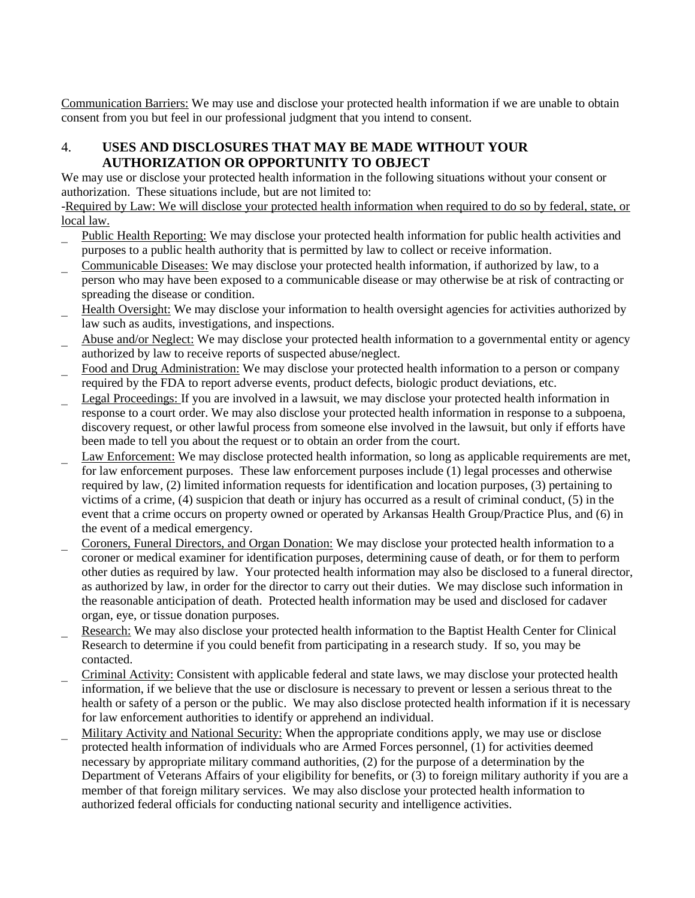Communication Barriers: We may use and disclose your protected health information if we are unable to obtain consent from you but feel in our professional judgment that you intend to consent.

## 4. **USES AND DISCLOSURES THAT MAY BE MADE WITHOUT YOUR AUTHORIZATION OR OPPORTUNITY TO OBJECT**

We may use or disclose your protected health information in the following situations without your consent or authorization. These situations include, but are not limited to:

-Required by Law: We will disclose your protected health information when required to do so by federal, state, or local law.

- Public Health Reporting: We may disclose your protected health information for public health activities and purposes to a public health authority that is permitted by law to collect or receive information.
- Communicable Diseases: We may disclose your protected health information, if authorized by law, to a person who may have been exposed to a communicable disease or may otherwise be at risk of contracting or spreading the disease or condition.
- Health Oversight: We may disclose your information to health oversight agencies for activities authorized by law such as audits, investigations, and inspections.
- Abuse and/or Neglect: We may disclose your protected health information to a governmental entity or agency authorized by law to receive reports of suspected abuse/neglect.
- Food and Drug Administration: We may disclose your protected health information to a person or company required by the FDA to report adverse events, product defects, biologic product deviations, etc.
- Legal Proceedings: If you are involved in a lawsuit, we may disclose your protected health information in response to a court order. We may also disclose your protected health information in response to a subpoena, discovery request, or other lawful process from someone else involved in the lawsuit, but only if efforts have been made to tell you about the request or to obtain an order from the court.
- Law Enforcement: We may disclose protected health information, so long as applicable requirements are met, for law enforcement purposes. These law enforcement purposes include (1) legal processes and otherwise required by law, (2) limited information requests for identification and location purposes, (3) pertaining to victims of a crime, (4) suspicion that death or injury has occurred as a result of criminal conduct, (5) in the event that a crime occurs on property owned or operated by Arkansas Health Group/Practice Plus, and (6) in the event of a medical emergency.
- Coroners, Funeral Directors, and Organ Donation: We may disclose your protected health information to a coroner or medical examiner for identification purposes, determining cause of death, or for them to perform other duties as required by law. Your protected health information may also be disclosed to a funeral director, as authorized by law, in order for the director to carry out their duties. We may disclose such information in the reasonable anticipation of death. Protected health information may be used and disclosed for cadaver organ, eye, or tissue donation purposes.
- Research: We may also disclose your protected health information to the Baptist Health Center for Clinical Research to determine if you could benefit from participating in a research study. If so, you may be contacted.
- Criminal Activity: Consistent with applicable federal and state laws, we may disclose your protected health information, if we believe that the use or disclosure is necessary to prevent or lessen a serious threat to the health or safety of a person or the public. We may also disclose protected health information if it is necessary for law enforcement authorities to identify or apprehend an individual.
- Military Activity and National Security: When the appropriate conditions apply, we may use or disclose protected health information of individuals who are Armed Forces personnel, (1) for activities deemed necessary by appropriate military command authorities, (2) for the purpose of a determination by the Department of Veterans Affairs of your eligibility for benefits, or (3) to foreign military authority if you are a member of that foreign military services. We may also disclose your protected health information to authorized federal officials for conducting national security and intelligence activities.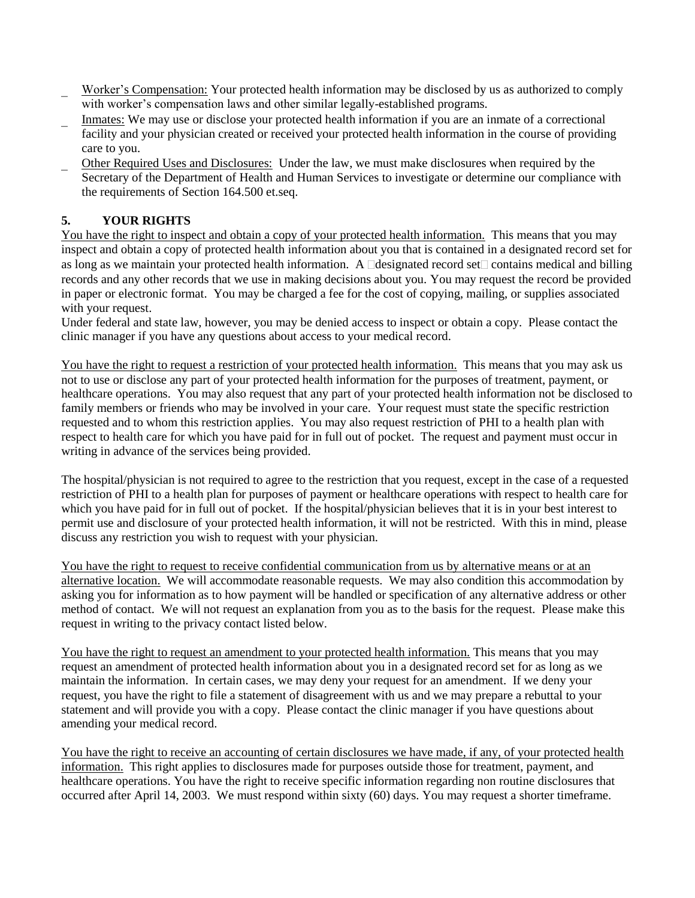- Worker's Compensation: Your protected health information may be disclosed by us as authorized to comply with worker's compensation laws and other similar legally-established programs.
- Inmates: We may use or disclose your protected health information if you are an inmate of a correctional facility and your physician created or received your protected health information in the course of providing care to you.
- Other Required Uses and Disclosures: Under the law, we must make disclosures when required by the Secretary of the Department of Health and Human Services to investigate or determine our compliance with the requirements of Section 164.500 et.seq.

## **5. YOUR RIGHTS**

You have the right to inspect and obtain a copy of your protected health information. This means that you may inspect and obtain a copy of protected health information about you that is contained in a designated record set for as long as we maintain your protected health information. A  $\Box$ designated record set $\Box$  contains medical and billing records and any other records that we use in making decisions about you. You may request the record be provided in paper or electronic format. You may be charged a fee for the cost of copying, mailing, or supplies associated with your request.

Under federal and state law, however, you may be denied access to inspect or obtain a copy. Please contact the clinic manager if you have any questions about access to your medical record.

You have the right to request a restriction of your protected health information. This means that you may ask us not to use or disclose any part of your protected health information for the purposes of treatment, payment, or healthcare operations. You may also request that any part of your protected health information not be disclosed to family members or friends who may be involved in your care. Your request must state the specific restriction requested and to whom this restriction applies. You may also request restriction of PHI to a health plan with respect to health care for which you have paid for in full out of pocket. The request and payment must occur in writing in advance of the services being provided.

The hospital/physician is not required to agree to the restriction that you request, except in the case of a requested restriction of PHI to a health plan for purposes of payment or healthcare operations with respect to health care for which you have paid for in full out of pocket. If the hospital/physician believes that it is in your best interest to permit use and disclosure of your protected health information, it will not be restricted. With this in mind, please discuss any restriction you wish to request with your physician.

You have the right to request to receive confidential communication from us by alternative means or at an alternative location. We will accommodate reasonable requests. We may also condition this accommodation by asking you for information as to how payment will be handled or specification of any alternative address or other method of contact. We will not request an explanation from you as to the basis for the request. Please make this request in writing to the privacy contact listed below.

You have the right to request an amendment to your protected health information. This means that you may request an amendment of protected health information about you in a designated record set for as long as we maintain the information. In certain cases, we may deny your request for an amendment. If we deny your request, you have the right to file a statement of disagreement with us and we may prepare a rebuttal to your statement and will provide you with a copy. Please contact the clinic manager if you have questions about amending your medical record.

You have the right to receive an accounting of certain disclosures we have made, if any, of your protected health information. This right applies to disclosures made for purposes outside those for treatment, payment, and healthcare operations. You have the right to receive specific information regarding non routine disclosures that occurred after April 14, 2003. We must respond within sixty (60) days. You may request a shorter timeframe.